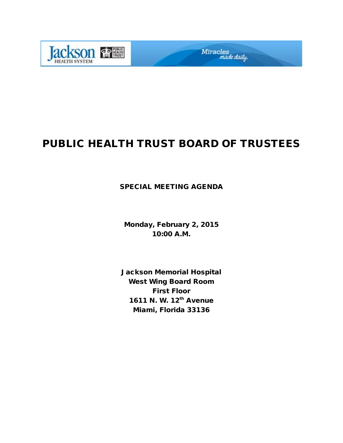

# PUBLIC HEALTH TRUST BOARD OF TRUSTEES

Miracles<br>made daily.

### SPECIAL MEETING AGENDA

Monday, February 2, 2015 10:00 A.M.

Jackson Memorial Hospital West Wing Board Room First Floor 1611 N. W. 12<sup>th</sup> Avenue Miami, Florida 33136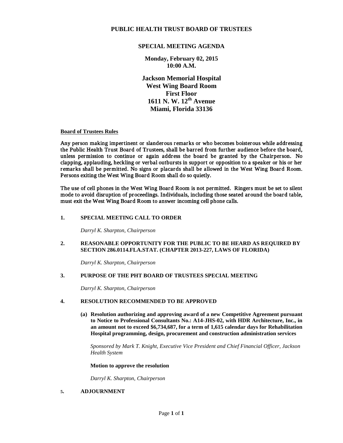### **PUBLIC HEALTH TRUST BOARD OF TRUSTEES**

### **SPECIAL MEETING AGENDA**

**Monday, February 02, 2015 10:00 A.M.** 

**Jackson Memorial Hospital West Wing Board Room First Floor 1611 N. W. 12th Avenue Miami, Florida 33136** 

### **Board of Trustees Rules**

Any person making impertinent or slanderous remarks or who becomes boisterous while addressing the Public Health Trust Board of Trustees, shall be barred from further audience before the board, unless permission to continue or again address the board be granted by the Chairperson. No clapping, applauding, heckling or verbal outbursts in support or opposition to a speaker or his or her remarks shall be permitted. No signs or placards shall be allowed in the West Wing Board Room. Persons exiting the West Wing Board Room shall do so quietly.

The use of cell phones in the West Wing Board Room is not permitted. Ringers must be set to silent mode to avoid disruption of proceedings. Individuals, including those seated around the board table, must exit the West Wing Board Room to answer incoming cell phone calls.

### **1. SPECIAL MEETING CALL TO ORDER**

*Darryl K. Sharpton, Chairperson*

### **2. REASONABLE OPPORTUNITY FOR THE PUBLIC TO BE HEARD AS REQUIRED BY SECTION 286.0114.FLA.STAT. (CHAPTER 2013-227, LAWS OF FLORIDA)**

*Darryl K. Sharpton, Chairperson*

### **3. PURPOSE OF THE PHT BOARD OF TRUSTEES SPECIAL MEETING**

*Darryl K. Sharpton, Chairperson*

### **4. RESOLUTION RECOMMENDED TO BE APPROVED**

**(a) Resolution authorizing and approving award of a new Competitive Agreement pursuant to Notice to Professional Consultants No.: A14-JHS-02, with HDR Architecture, Inc., in an amount not to exceed \$6,734,687, for a term of 1,615 calendar days for Rehabilitation Hospital programming, design, procurement and construction administration services**

 *Sponsored by Mark T. Knight, Executive Vice President and Chief Financial Officer, Jackson Health System*

 **Motion to approve the resolution**

*Darryl K. Sharpton, Chairperson*

### **5. ADJOURNMENT**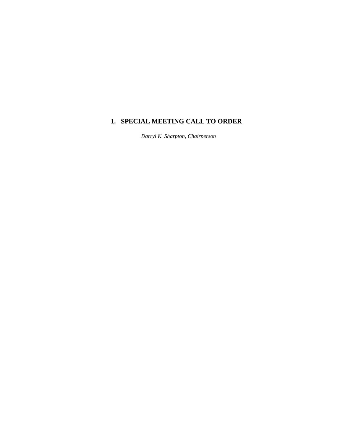## **1. SPECIAL MEETING CALL TO ORDER**

 *Darryl K. Sharpton, Chairperson*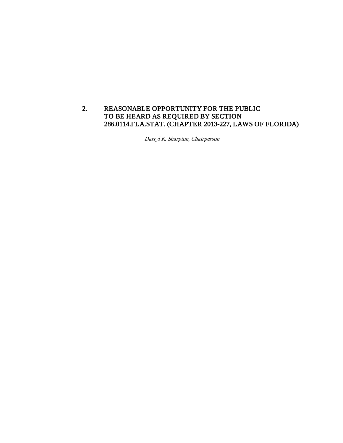### 2. REASONABLE OPPORTUNITY FOR THE PUBLIC TO BE HEARD AS REQUIRED BY SECTION 286.0114.FLA.STAT. (CHAPTER 2013-227, LAWS OF FLORIDA)

Darryl K. Sharpton, Chairperson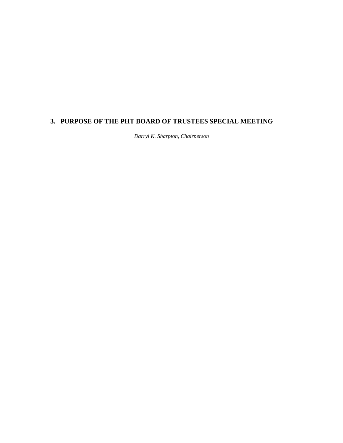## **3. PURPOSE OF THE PHT BOARD OF TRUSTEES SPECIAL MEETING**

 *Darryl K. Sharpton, Chairperson*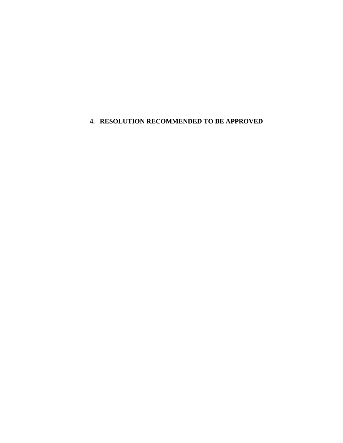### **4. RESOLUTION RECOMMENDED TO BE APPROVED**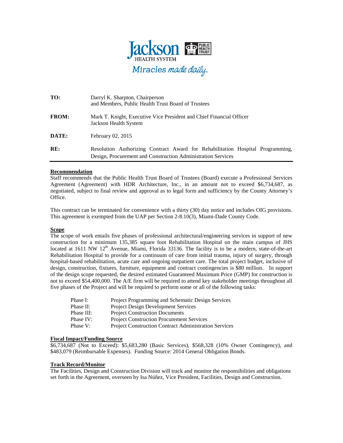

| TO:          | Darryl K. Sharpton, Chairperson<br>and Members, Public Health Trust Board of Trustees                                                          |
|--------------|------------------------------------------------------------------------------------------------------------------------------------------------|
| <b>FROM:</b> | Mark T. Knight, Executive Vice President and Chief Financial Officer<br>Jackson Health System                                                  |
| DATE:        | February 02, 2015                                                                                                                              |
| RE:          | Resolution Authorizing Contract Award for Rehabilitation Hospital Programming,<br>Design, Procurement and Construction Administration Services |

### **Recommendation**

Staff recommends that the Public Health Trust Board of Trustees (Board) execute a Professional Services Agreement (Agreement) with HDR Architecture, Inc., in an amount not to exceed \$6,734,687, as negotiated, subject to final review and approval as to legal form and sufficiency by the County Attorney's Office.

This contract can be terminated for convenience with a thirty (30) day notice and includes OIG provisions. This agreement is exempted from the UAP per Section 2-8.10(3), Miami-Dade County Code.

### **Scope**

The scope of work entails five phases of professional architectural/engineering services in support of new construction for a minimum 135,385 square foot Rehabilitation Hospital on the main campus of JHS located at 1611 NW  $12<sup>th</sup>$  Avenue, Miami, Florida 33136. The facility is to be a modern, state-of-the-art Rehabilitation Hospital to provide for a continuum of care from initial trauma, injury of surgery, through hospital-based rehabilitation, acute care and ongoing outpatient care. The total project budget, inclusive of design, construction, fixtures, furniture, equipment and contract contingencies is \$80 million. In support of the design scope requested, the desired estimated Guaranteed Maximum Price (GMP) for construction is not to exceed \$54,400,000. The A/E firm will be required to attend key stakeholder meetings throughout all five phases of the Project and will be required to perform some or all of the following tasks:

| Phase I:   | <b>Project Programming and Schematic Design Services</b>     |
|------------|--------------------------------------------------------------|
| Phase II:  | <b>Project Design Development Services</b>                   |
| Phase III: | <b>Project Construction Documents</b>                        |
| Phase IV:  | <b>Project Construction Procurement Services</b>             |
| Phase V:   | <b>Project Construction Contract Administration Services</b> |

### **Fiscal Impact/Funding Source**

\$6,734,687 (Not to Exceed): \$5,683,280 (Basic Services), \$568,328 (10% Owner Contingency), and \$483,079 (Reimbursable Expenses). Funding Source: 2014 General Obligation Bonds.

### **Track Record/Monitor**

The Facilities, Design and Construction Division will track and monitor the responsibilities and obligations set forth in the Agreement, overseen by Isa Núñez, Vice President, Facilities, Design and Construction.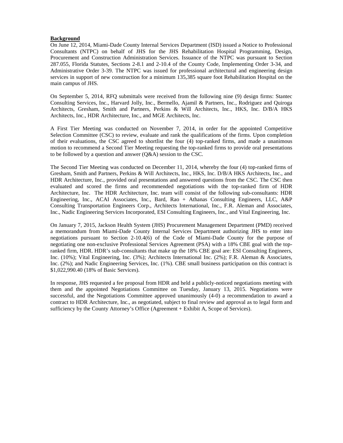#### **Background**

On June 12, 2014, Miami-Dade County Internal Services Department (ISD) issued a Notice to Professional Consultants (NTPC) on behalf of JHS for the JHS Rehabilitation Hospital Programming, Design, Procurement and Construction Administration Services. Issuance of the NTPC was pursuant to Section 287.055, Florida Statutes, Sections 2-8.1 and 2-10.4 of the County Code, Implementing Order 3-34, and Administrative Order 3-39. The NTPC was issued for professional architectural and engineering design services in support of new construction for a minimum 135,385 square foot Rehabilitation Hospital on the main campus of JHS.

On September 5, 2014, RFQ submittals were received from the following nine (9) design firms: Stantec Consulting Services, Inc., Harvard Jolly, Inc., Bermello, Ajamil & Partners, Inc., Rodriguez and Quiroga Architects, Gresham, Smith and Partners, Perkins & Will Architects, Inc., HKS, Inc. D/B/A HKS Architects, Inc., HDR Architecture, Inc., and MGE Architects, Inc.

A First Tier Meeting was conducted on November 7, 2014, in order for the appointed Competitive Selection Committee (CSC) to review, evaluate and rank the qualifications of the firms. Upon completion of their evaluations, the CSC agreed to shortlist the four (4) top-ranked firms, and made a unanimous motion to recommend a Second Tier Meeting requesting the top-ranked firms to provide oral presentations to be followed by a question and answer (Q&A) session to the CSC.

The Second Tier Meeting was conducted on December 11, 2014, whereby the four (4) top-ranked firms of Gresham, Smith and Partners, Perkins & Will Architects, Inc., HKS, Inc. D/B/A HKS Architects, Inc., and HDR Architecture, Inc., provided oral presentations and answered questions from the CSC. The CSC then evaluated and scored the firms and recommended negotiations with the top-ranked firm of HDR Architecture, Inc. The HDR Architecture, Inc. team will consist of the following sub-consultants: HDR Engineering, Inc., ACAI Associates, Inc., Bard, Rao + Athanas Consulting Engineers, LLC, A&P Consulting Transportation Engineers Corp., Architects International, Inc., F.R. Aleman and Associates, Inc., Nadic Engineering Services Incorporated, ESI Consulting Engineers, Inc., and Vital Engineering, Inc.

On January 7, 2015, Jackson Health System (JHS) Procurement Management Department (PMD) received a memorandum from Miami-Dade County Internal Services Department authorizing JHS to enter into negotiations pursuant to Section 2-10.4(6) of the Code of Miami-Dade County for the purpose of negotiating one non-exclusive Professional Services Agreement (PSA) with a 18% CBE goal with the topranked firm, HDR. HDR's sub-consultants that make up the 18% CBE goal are: ESI Consulting Engineers, Inc. (10%); Vital Engineering, Inc. (3%); Architects International Inc. (2%); F.R. Aleman & Associates, Inc. (2%); and Nadic Engineering Services, Inc. (1%). CBE small business participation on this contract is \$1,022,990.40 (18% of Basic Services).

In response, JHS requested a fee proposal from HDR and held a publicly-noticed negotiations meeting with them and the appointed Negotiations Committee on Tuesday, January 13, 2015. Negotiations were successful, and the Negotiations Committee approved unanimously (4-0) a recommendation to award a contract to HDR Architecture, Inc., as negotiated, subject to final review and approval as to legal form and sufficiency by the County Attorney's Office (Agreement + Exhibit A, Scope of Services).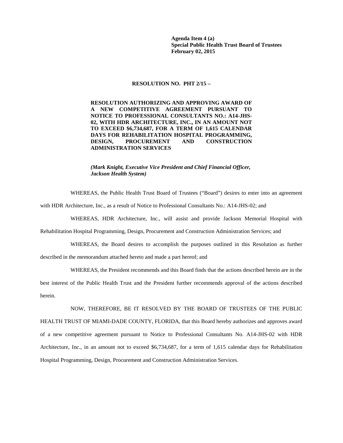**Agenda Item 4 (a) Special Public Health Trust Board of Trustees February 02, 2015**

#### **RESOLUTION NO. PHT 2/15 –**

**RESOLUTION AUTHORIZING AND APPROVING AWARD OF A NEW COMPETITIVE AGREEMENT PURSUANT TO NOTICE TO PROFESSIONAL CONSULTANTS NO.: A14-JHS-02, WITH HDR ARCHITECTURE, INC., IN AN AMOUNT NOT TO EXCEED \$6,734,687, FOR A TERM OF 1,615 CALENDAR DAYS FOR REHABILITATION HOSPITAL PROGRAMMING, DESIGN, PROCUREMENT AND CONSTRUCTION ADMINISTRATION SERVICES**

*(Mark Knight, Executive Vice President and Chief Financial Officer, Jackson Health System)* 

WHEREAS, the Public Health Trust Board of Trustees ("Board") desires to enter into an agreement

with HDR Architecture, Inc., as a result of Notice to Professional Consultants No.: A14-JHS-02; and

WHEREAS, HDR Architecture, Inc., will assist and provide Jackson Memorial Hospital with

Rehabilitation Hospital Programming, Design, Procurement and Construction Administration Services; and

WHEREAS, the Board desires to accomplish the purposes outlined in this Resolution as further described in the memorandum attached hereto and made a part hereof; and

WHEREAS, the President recommends and this Board finds that the actions described herein are in the

best interest of the Public Health Trust and the President further recommends approval of the actions described herein.

### NOW, THEREFORE, BE IT RESOLVED BY THE BOARD OF TRUSTEES OF THE PUBLIC

HEALTH TRUST OF MIAMI-DADE COUNTY, FLORIDA, that this Board hereby authorizes and approves award of a new competitive agreement pursuant to Notice to Professional Consultants No. A14-JHS-02 with HDR Architecture, Inc., in an amount not to exceed \$6,734,687, for a term of 1,615 calendar days for Rehabilitation Hospital Programming, Design, Procurement and Construction Administration Services.